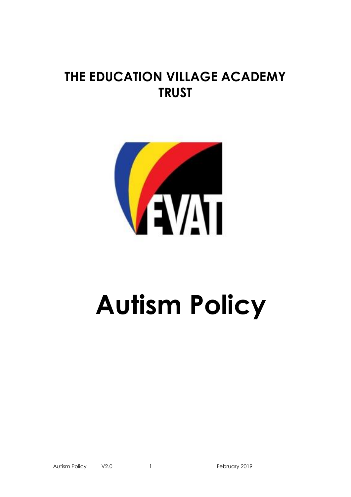# **THE EDUCATION VILLAGE ACADEMY TRUST**



# **Autism Policy**

Autism Policy V2.0 1 and 1 and 1 February 2019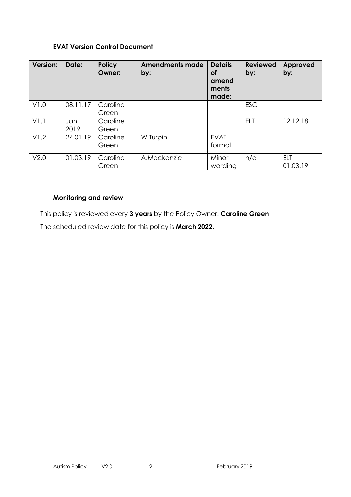#### **EVAT Version Control Document**

| <b>Version:</b> | Date:       | <b>Policy</b><br>Owner: | <b>Amendments made</b><br>by: | <b>Details</b><br><b>of</b><br>amend<br>ments<br>made: | <b>Reviewed</b><br>by: | <b>Approved</b><br>by: |
|-----------------|-------------|-------------------------|-------------------------------|--------------------------------------------------------|------------------------|------------------------|
| V1.0            | 08.11.17    | Caroline<br>Green       |                               |                                                        | <b>ESC</b>             |                        |
| V1.1            | Jan<br>2019 | Caroline<br>Green       |                               |                                                        | <b>ELT</b>             | 12.12.18               |
| V1.2            | 24.01.19    | Caroline<br>Green       | W Turpin                      | <b>EVAT</b><br>format                                  |                        |                        |
| V2.0            | 01.03.19    | Caroline<br>Green       | A.Mackenzie                   | Minor<br>wording                                       | n/a                    | <b>ELT</b><br>01.03.19 |

# **Monitoring and review**

This policy is reviewed every **3 years** by the Policy Owner: **Caroline Green** The scheduled review date for this policy is **March 2022**.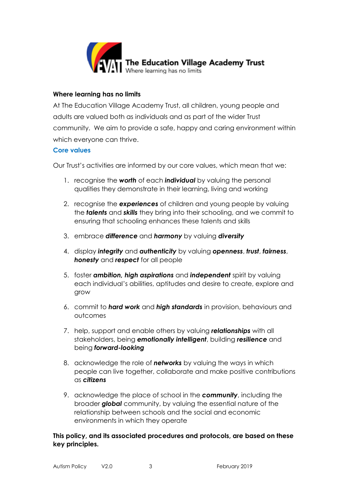

#### **Where learning has no limits**

At The Education Village Academy Trust, all children, young people and adults are valued both as individuals and as part of the wider Trust community. We aim to provide a safe, happy and caring environment within which everyone can thrive.

#### **Core values**

Our Trust's activities are informed by our core values, which mean that we:

- 1. recognise the *worth* of each *individual* by valuing the personal qualities they demonstrate in their learning, living and working
- 2. recognise the *experiences* of children and young people by valuing the *talents* and *skills* they bring into their schooling, and we commit to ensuring that schooling enhances these talents and skills
- 3. embrace *difference* and *harmony* by valuing *diversity*
- 4. display *integrity* and *authenticity* by valuing *openness*, *trust*, *fairness*, *honesty* and *respect* for all people
- 5. foster *ambition, high aspirations* and *independent* spirit by valuing each individual's abilities, aptitudes and desire to create, explore and grow
- 6. commit to *hard work* and *high standards* in provision, behaviours and outcomes
- 7. help, support and enable others by valuing *relationships* with all stakeholders, being *emotionally intelligent*, building *resilience* and being *forward-looking*
- 8. acknowledge the role of *networks* by valuing the ways in which people can live together, collaborate and make positive contributions as *citizens*
- 9. acknowledge the place of school in the *community*, including the broader *global* community, by valuing the essential nature of the relationship between schools and the social and economic environments in which they operate

# **This policy, and its associated procedures and protocols, are based on these key principles.**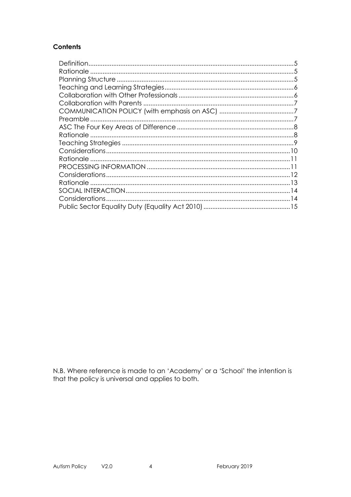# **Contents**

N.B. Where reference is made to an 'Academy' or a 'School' the intention is that the policy is universal and applies to both.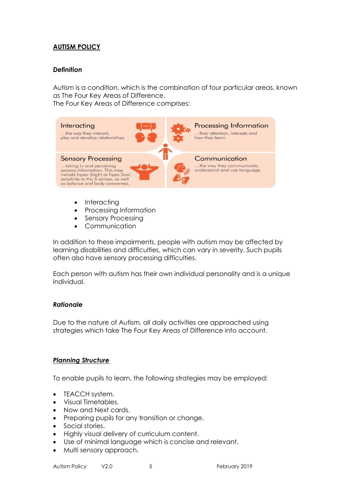# **AUTISM POLICY**

#### <span id="page-4-0"></span>*Definition*

Autism is a condition, which is the combination of four particular areas, known as The Four Key Areas of Difference.

The Four Key Areas of Difference comprises:



- Interacting
- Processing Information
- Sensory Processing
- Communication

In addition to these impairments, people with autism may be affected by learning disabilities and difficulties, which can vary in severity. Such pupils often also have sensory processing difficulties.

Each person with autism has their own individual personality and is a unique individual.

#### <span id="page-4-1"></span>*Rationale*

Due to the nature of Autism, all daily activities are approached using strategies which take The Four Key Areas of Difference into account.

#### <span id="page-4-2"></span>*Planning Structure*

To enable pupils to learn, the following strategies may be employed:

- TEACCH system.
- Visual Timetables.
- Now and Next cards.
- Preparing pupils for any transition or change.
- Social stories.
- Highly visual delivery of curriculum content.
- Use of minimal language which is concise and relevant.
- Multi sensory approach.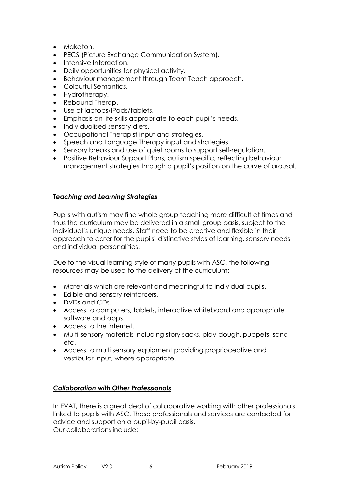- Makaton.
- PECS (Picture Exchange Communication System).
- Intensive Interaction.
- Daily opportunities for physical activity.
- Behaviour management through Team Teach approach.
- Colourful Semantics.
- Hydrotherapy.
- Rebound Therap.
- Use of laptops/IPads/tablets.
- Emphasis on life skills appropriate to each pupil's needs.
- Individualised sensory diets.
- Occupational Therapist input and strategies.
- Speech and Language Therapy input and strategies.
- Sensory breaks and use of quiet rooms to support self-regulation.
- Positive Behaviour Support Plans, autism specific, reflecting behaviour management strategies through a pupil's position on the curve of arousal.

#### <span id="page-5-0"></span>*Teaching and Learning Strategies*

Pupils with autism may find whole group teaching more difficult at times and thus the curriculum may be delivered in a small group basis, subject to the individual's unique needs. Staff need to be creative and flexible in their approach to cater for the pupils' distinctive styles of learning, sensory needs and individual personalities.

Due to the visual learning style of many pupils with ASC, the following resources may be used to the delivery of the curriculum:

- Materials which are relevant and meaningful to individual pupils.
- Edible and sensory reinforcers.
- DVDs and CDs.
- Access to computers, tablets, interactive whiteboard and appropriate software and apps.
- Access to the internet.
- Multi-sensory materials including story sacks, play-dough, puppets, sand etc.
- Access to multi sensory equipment providing proprioceptive and vestibular input, where appropriate.

#### <span id="page-5-1"></span>*Collaboration with Other Professionals*

In EVAT, there is a great deal of collaborative working with other professionals linked to pupils with ASC. These professionals and services are contacted for advice and support on a pupil-by-pupil basis. Our collaborations include: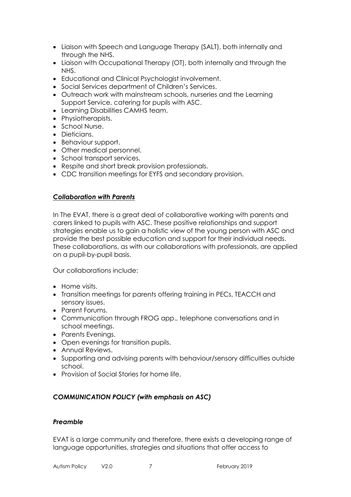- Liaison with Speech and Language Therapy (SALT), both internally and through the NHS.
- Liaison with Occupational Therapy (OT), both internally and through the NHS.
- Educational and Clinical Psychologist involvement.
- Social Services department of Children's Services.
- Outreach work with mainstream schools, nurseries and the Learning Support Service, catering for pupils with ASC.
- Learning Disabilities CAMHS team.
- Physiotherapists.
- School Nurse.
- **•** Dieticians.
- Behaviour support.
- Other medical personnel.
- School transport services.
- Respite and short break provision professionals.
- CDC transition meetings for EYFS and secondary provision.

#### <span id="page-6-0"></span>*Collaboration with Parents*

In The EVAT, there is a great deal of collaborative working with parents and carers linked to pupils with ASC. These positive relationships and support strategies enable us to gain a holistic view of the young person with ASC and provide the best possible education and support for their individual needs. These collaborations, as with our collaborations with professionals, are applied on a pupil-by-pupil basis.

Our collaborations include:

- Home visits.
- Transition meetings for parents offering training in PECs, TEACCH and sensory issues.
- Parent Forums.
- Communication through FROG app., telephone conversations and in school meetings.
- Parents Evenings.
- Open evenings for transition pupils.
- Annual Reviews.
- Supporting and advising parents with behaviour/sensory difficulties outside school.
- Provision of Social Stories for home life.

# <span id="page-6-1"></span>*COMMUNICATION POLICY (with emphasis on ASC)*

#### <span id="page-6-2"></span>*Preamble*

EVAT is a large community and therefore, there exists a developing range of language opportunities, strategies and situations that offer access to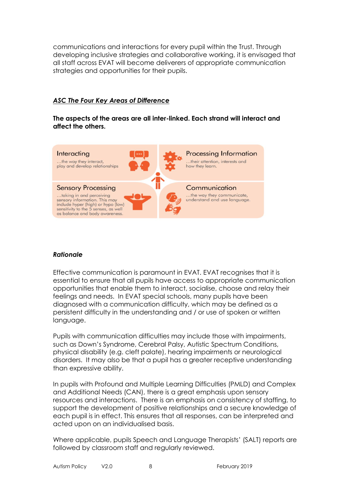communications and interactions for every pupil within the Trust. Through developing inclusive strategies and collaborative working, it is envisaged that all staff across EVAT will become deliverers of appropriate communication strategies and opportunities for their pupils.

# <span id="page-7-0"></span>*ASC The Four Key Areas of Difference*

#### **The aspects of the areas are all inter-linked. Each strand will interact and affect the others.**



#### <span id="page-7-1"></span>*Rationale*

Effective communication is paramount in EVAT. EVAT recognises that it is essential to ensure that all pupils have access to appropriate communication opportunities that enable them to interact, socialise, choose and relay their feelings and needs. In EVAT special schools, many pupils have been diagnosed with a communication difficulty, which may be defined as a persistent difficulty in the understanding and / or use of spoken or written language.

Pupils with communication difficulties may include those with impairments, such as Down's Syndrome, Cerebral Palsy, Autistic Spectrum Conditions, physical disability (e.g. cleft palate), hearing impairments or neurological disorders. It may also be that a pupil has a greater receptive understanding than expressive ability.

In pupils with Profound and Multiple Learning Difficulties (PMLD) and Complex and Additional Needs (CAN), there is a great emphasis upon sensory resources and interactions. There is an emphasis on consistency of staffing, to support the development of positive relationships and a secure knowledge of each pupil is in effect. This ensures that all responses, can be interpreted and acted upon on an individualised basis.

Where applicable, pupils Speech and Language Therapists' (SALT) reports are followed by classroom staff and regularly reviewed.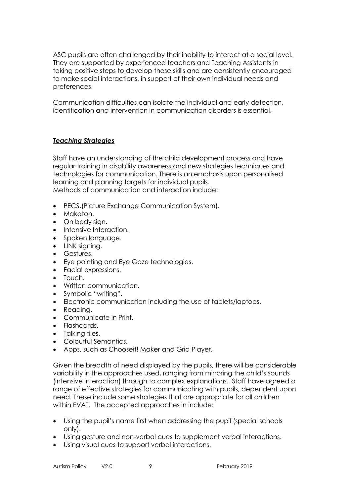ASC pupils are often challenged by their inability to interact at a social level. They are supported by experienced teachers and Teaching Assistants in taking positive steps to develop these skills and are consistently encouraged to make social interactions, in support of their own individual needs and preferences.

Communication difficulties can isolate the individual and early detection, identification and intervention in communication disorders is essential.

# <span id="page-8-0"></span>*Teaching Strategies*

Staff have an understanding of the child development process and have regular training in disability awareness and new strategies techniques and technologies for communication. There is an emphasis upon personalised learning and planning targets for individual pupils. Methods of communication and interaction include:

- PECS.(Picture Exchange Communication System).
- Makaton.
- On body sign.
- Intensive Interaction.
- Spoken language.
- LINK signing.
- Gestures.
- Eye pointing and Eye Gaze technologies.
- Facial expressions.
- Touch.
- Written communication.
- Symbolic "writing".
- Electronic communication including the use of tablets/laptops.
- Reading.
- Communicate in Print.
- Flashcards.
- Talking tiles.
- Colourful Semantics.
- Apps, such as Chooseit! Maker and Grid Player.

Given the breadth of need displayed by the pupils, there will be considerable variability in the approaches used, ranging from mirroring the child's sounds (intensive interaction) through to complex explanations. Staff have agreed a range of effective strategies for communicating with pupils, dependent upon need. These include some strategies that are appropriate for all children within EVAT. The accepted approaches in include:

- Using the pupil's name first when addressing the pupil (special schools only).
- Using gesture and non-verbal cues to supplement verbal interactions.
- Using visual cues to support verbal interactions.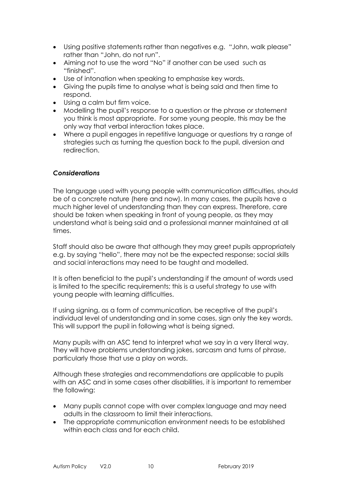- Using positive statements rather than negatives e.g. "John, walk please" rather than "John, do not run".
- Aiming not to use the word "No" if another can be used such as "finished".
- Use of intonation when speaking to emphasise key words.
- Giving the pupils time to analyse what is being said and then time to respond.
- Using a calm but firm voice.
- Modelling the pupil's response to a question or the phrase or statement you think is most appropriate. For some young people, this may be the only way that verbal interaction takes place.
- Where a pupil engages in repetitive language or questions try a range of strategies such as turning the question back to the pupil, diversion and redirection.

#### <span id="page-9-0"></span>*Considerations*

The language used with young people with communication difficulties, should be of a concrete nature (here and now). In many cases, the pupils have a much higher level of understanding than they can express. Therefore, care should be taken when speaking in front of young people, as they may understand what is being said and a professional manner maintained at all times.

Staff should also be aware that although they may greet pupils appropriately e.g. by saying "hello", there may not be the expected response; social skills and social interactions may need to be taught and modelled.

It is often beneficial to the pupil's understanding if the amount of words used is limited to the specific requirements; this is a useful strategy to use with young people with learning difficulties.

If using signing, as a form of communication, be receptive of the pupil's individual level of understanding and in some cases, sign only the key words. This will support the pupil in following what is being signed.

Many pupils with an ASC tend to interpret what we say in a very literal way. They will have problems understanding jokes, sarcasm and turns of phrase, particularly those that use a play on words.

Although these strategies and recommendations are applicable to pupils with an ASC and in some cases other disabilities, it is important to remember the following:

- Many pupils cannot cope with over complex language and may need adults in the classroom to limit their interactions.
- The appropriate communication environment needs to be established within each class and for each child.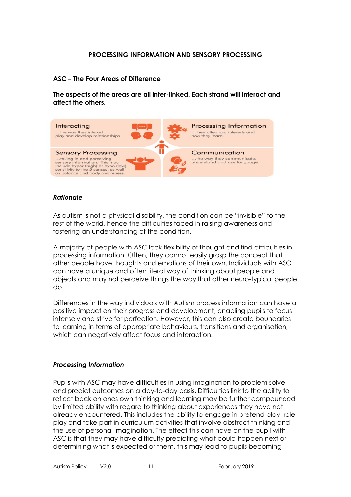#### **PROCESSING INFORMATION AND SENSORY PROCESSING**

#### **ASC – The Four Areas of Difference**

**The aspects of the areas are all inter-linked. Each strand will interact and affect the others.**



#### <span id="page-10-0"></span>*Rationale*

As autism is not a physical disability, the condition can be "invisible" to the rest of the world, hence the difficulties faced in raising awareness and fostering an understanding of the condition.

A majority of people with ASC lack flexibility of thought and find difficulties in processing information. Often, they cannot easily grasp the concept that other people have thoughts and emotions of their own. Individuals with ASC can have a unique and often literal way of thinking about people and objects and may not perceive things the way that other neuro-typical people do.

Differences in the way individuals with Autism process information can have a positive impact on their progress and development, enabling pupils to focus intensely and strive for perfection. However, this can also create boundaries to learning in terms of appropriate behaviours, transitions and organisation, which can negatively affect focus and interaction.

#### <span id="page-10-1"></span>*Processing Information*

Pupils with ASC may have difficulties in using imagination to problem solve and predict outcomes on a day-to-day basis. Difficulties link to the ability to reflect back on ones own thinking and learning may be further compounded by limited ability with regard to thinking about experiences they have not already encountered. This includes the ability to engage in pretend play, roleplay and take part in curriculum activities that involve abstract thinking and the use of personal imagination. The effect this can have on the pupil with ASC is that they may have difficulty predicting what could happen next or determining what is expected of them, this may lead to pupils becoming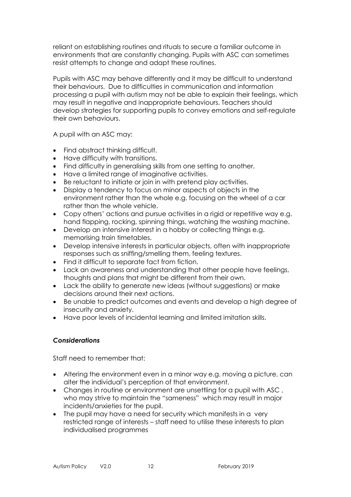reliant on establishing routines and rituals to secure a familiar outcome in environments that are constantly changing. Pupils with ASC can sometimes resist attempts to change and adapt these routines.

Pupils with ASC may behave differently and it may be difficult to understand their behaviours. Due to difficulties in communication and information processing a pupil with autism may not be able to explain their feelings, which may result in negative and inappropriate behaviours. Teachers should develop strategies for supporting pupils to convey emotions and self-regulate their own behaviours.

A pupil with an ASC may:

- Find abstract thinking difficult.
- Have difficulty with transitions.
- Find difficulty in generalising skills from one setting to another.
- Have a limited range of imaginative activities.
- Be reluctant to initiate or join in with pretend play activities.
- Display a tendency to focus on minor aspects of objects in the environment rather than the whole e.g. focusing on the wheel of a car rather than the whole vehicle.
- Copy others' actions and pursue activities in a rigid or repetitive way e.g. hand flapping, rocking, spinning things, watching the washing machine.
- Develop an intensive interest in a hobby or collecting things e.g. memorising train timetables.
- Develop intensive interests in particular objects, often with inappropriate responses such as sniffing/smelling them, feeling textures.
- Find it difficult to separate fact from fiction.
- Lack an awareness and understanding that other people have feelings, thoughts and plans that might be different from their own.
- Lack the ability to generate new ideas (without suggestions) or make decisions around their next actions.
- Be unable to predict outcomes and events and develop a high degree of insecurity and anxiety.
- Have poor levels of incidental learning and limited imitation skills.

#### <span id="page-11-0"></span>*Considerations*

Staff need to remember that:

- Altering the environment even in a minor way e.g. moving a picture, can alter the individual's perception of that environment.
- Changes in routine or environment are unsettling for a pupil with ASC , who may strive to maintain the "sameness" which may result in major incidents/anxieties for the pupil.
- The pupil may have a need for security which manifests in a very restricted range of interests – staff need to utilise these interests to plan individualised programmes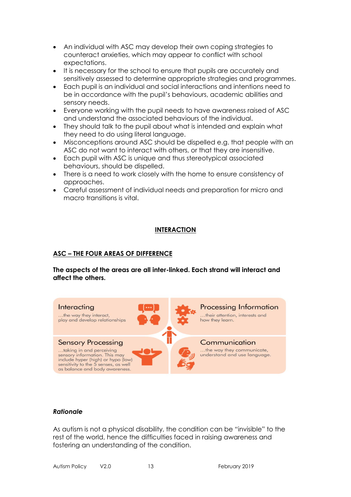- An individual with ASC may develop their own coping strategies to counteract anxieties, which may appear to conflict with school expectations.
- It is necessary for the school to ensure that pupils are accurately and sensitively assessed to determine appropriate strategies and programmes.
- Each pupil is an individual and social interactions and intentions need to be in accordance with the pupil's behaviours, academic abilities and sensory needs.
- Everyone working with the pupil needs to have awareness raised of ASC and understand the associated behaviours of the individual.
- They should talk to the pupil about what is intended and explain what they need to do using literal language.
- Misconceptions around ASC should be dispelled e.g. that people with an ASC do not want to interact with others, or that they are insensitive.
- Each pupil with ASC is unique and thus stereotypical associated behaviours, should be dispelled.
- There is a need to work closely with the home to ensure consistency of approaches.
- Careful assessment of individual needs and preparation for micro and macro transitions is vital.

# **INTERACTION**

# **ASC – THE FOUR AREAS OF DIFFERENCE**

**The aspects of the areas are all inter-linked. Each strand will interact and affect the others.**



#### <span id="page-12-0"></span>*Rationale*

As autism is not a physical disability, the condition can be "invisible" to the rest of the world, hence the difficulties faced in raising awareness and fostering an understanding of the condition.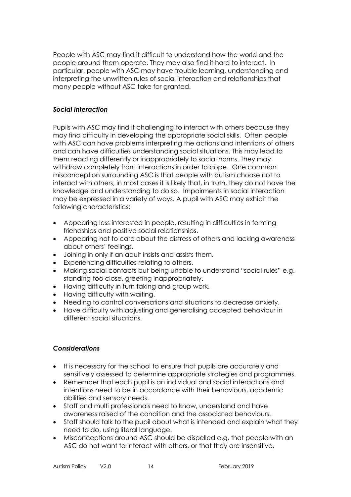People with ASC may find it difficult to understand how the world and the people around them operate. They may also find it hard to interact. In particular, people with ASC may have trouble learning, understanding and interpreting the unwritten rules of social interaction and relationships that many people without ASC take for granted.

# <span id="page-13-0"></span>*Social Interaction*

Pupils with ASC may find it challenging to interact with others because they may find difficulty in developing the appropriate social skills. Often people with ASC can have problems interpreting the actions and intentions of others and can have difficulties understanding social situations. This may lead to them reacting differently or inappropriately to social norms. They may withdraw completely from interactions in order to cope. One common misconception surrounding ASC is that people with autism choose not to interact with others, in most cases it is likely that, in truth, they do not have the knowledge and understanding to do so. Impairments in social interaction may be expressed in a variety of ways. A pupil with ASC may exhibit the following characteristics:

- Appearing less interested in people, resulting in difficulties in forming friendships and positive social relationships.
- Appearing not to care about the distress of others and lacking awareness about others' feelings.
- Joining in only if an adult insists and assists them.
- Experiencing difficulties relating to others.
- Making social contacts but being unable to understand "social rules" e.g. standing too close, greeting inappropriately.
- Having difficulty in turn taking and group work.
- Having difficulty with waiting.
- Needing to control conversations and situations to decrease anxiety.
- Have difficulty with adjusting and generalising accepted behaviour in different social situations.

#### <span id="page-13-1"></span>*Considerations*

- It is necessary for the school to ensure that pupils are accurately and sensitively assessed to determine appropriate strategies and programmes.
- Remember that each pupil is an individual and social interactions and intentions need to be in accordance with their behaviours, academic abilities and sensory needs.
- Staff and multi professionals need to know, understand and have awareness raised of the condition and the associated behaviours.
- Staff should talk to the pupil about what is intended and explain what they need to do, using literal language.
- Misconceptions around ASC should be dispelled e.g. that people with an ASC do not want to interact with others, or that they are insensitive.